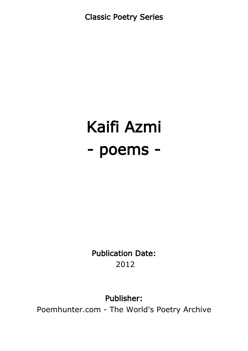Classic Poetry Series

# Kaifi Azmi - poems -

Publication Date: 2012

#### Publisher:

Poemhunter.com - The World's Poetry Archive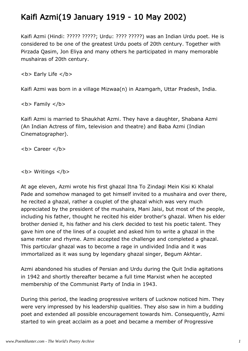### Kaifi Azmi(19 January 1919 - 10 May 2002)

Kaifi Azmi (Hindi: ????? ?????; Urdu: ???? ?????) was an Indian Urdu poet. He is considered to be one of the greatest Urdu poets of 20th century. Together with Pirzada Qasim, Jon Eliya and many others he participated in many memorable mushairas of 20th century.

**<b> Early Life </b>** 

Kaifi Azmi was born in a village Mizwaa(n) in Azamgarh, Uttar Pradesh, India.

 **Family**  $<$ **/b** $>$ 

Kaifi Azmi is married to Shaukhat Azmi. They have a daughter, Shabana Azmi (An Indian Actress of film, television and theatre) and Baba Azmi (Indian Cinematographer).

<b> Career </b>

**<b> Writings </b>** 

At age eleven, Azmi wrote his first ghazal Itna To Zindagi Mein Kisi Ki Khalal Pade and somehow managed to get himself invited to a mushaira and over there, he recited a ghazal, rather a couplet of the ghazal which was very much appreciated by the president of the mushaira, Mani Jaisi, but most of the people, including his father, thought he recited his elder brother's ghazal. When his elder brother denied it, his father and his clerk decided to test his poetic talent. They gave him one of the lines of a couplet and asked him to write a ghazal in the same meter and rhyme. Azmi accepted the challenge and completed a ghazal. This particular ghazal was to become a rage in undivided India and it was immortalized as it was sung by legendary ghazal singer, Begum Akhtar.

Azmi abandoned his studies of Persian and Urdu during the Quit India agitations in 1942 and shortly thereafter became a full time Marxist when he accepted membership of the Communist Party of India in 1943.

During this period, the leading progressive writers of Lucknow noticed him. They were very impressed by his leadership qualities. They also saw in him a budding poet and extended all possible encouragement towards him. Consequently, Azmi started to win great acclaim as a poet and became a member of Progressive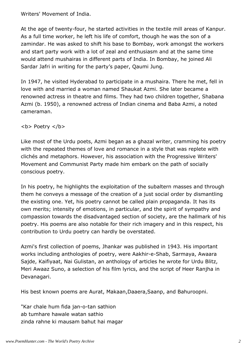Writers' Movement of India.

At the age of twenty-four, he started activities in the textile mill areas of Kanpur. As a full time worker, he left his life of comfort, though he was the son of a zamindar. He was asked to shift his base to Bombay, work amongst the workers and start party work with a lot of zeal and enthusiasm and at the same time would attend mushairas in different parts of India. In Bombay, he joined Ali Sardar Jafri in writing for the party's paper, Qaumi Jung.

In 1947, he visited Hyderabad to participate in a mushaira. There he met, fell in love with and married a woman named Shaukat Azmi. She later became a renowned actress in theatre and films. They had two children together, Shabana Azmi (b. 1950), a renowned actress of Indian cinema and Baba Azmi, a noted cameraman.

<b> Poetry </b>

Like most of the Urdu poets, Azmi began as a ghazal writer, cramming his poetry with the repeated themes of love and romance in a style that was replete with clichés and metaphors. However, his association with the Progressive Writers' Movement and Communist Party made him embark on the path of socially conscious poetry.

In his poetry, he highlights the exploitation of the subaltern masses and through them he conveys a message of the creation of a just social order by dismantling the existing one. Yet, his poetry cannot be called plain propaganda. It has its own merits; intensity of emotions, in particular, and the spirit of sympathy and compassion towards the disadvantaged section of society, are the hallmark of his poetry. His poems are also notable for their rich imagery and in this respect, his contribution to Urdu poetry can hardly be overstated.

Azmi's first collection of poems, Jhankar was published in 1943. His important works including anthologies of poetry, were Aakhir-e-Shab, Sarmaya, Awaara Sajde, Kaifiyaat, Nai Gulistan, an anthology of articles he wrote for Urdu Blitz, Meri Awaaz Suno, a selection of his film lyrics, and the script of Heer Ranjha in Devanagari.

His best known poems are Aurat, Makaan,Daaera,Saanp, and Bahuroopni.

"Kar chale hum fida jan-o-tan sathion ab tumhare hawale watan sathio zinda rahne ki mausam bahut hai magar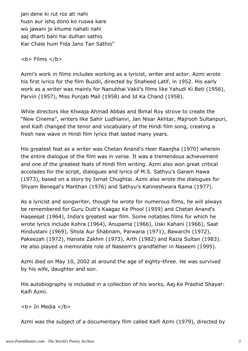jan dene ki rut roz ati nahi husn aur ishq dono ko ruswa kare wo jawani jo khume nahati nahi aaj dharti bani hai dulhan sathio Kar Chale hum Fida Jano Tan Sathio"

#### $$

Azmi's work in films includes working as a lyricist, writer and actor. Azmi wrote his first lyrics for the film Buzdil, directed by Shaheed Latif, in 1952. His early work as a writer was mainly for Nanubhai Vakil's films like Yahudi Ki Beti (1956), Parvin (1957), Miss Punjab Mail (1958) and Id Ka Chand (1958).

While directors like Khwaja Ahmad Abbas and Bimal Roy strove to create the "New Cinema", writers like Sahir Ludhianvi, Jan Nisar Akhtar, Majrooh Sultanpuri, and Kaifi changed the tenor and vocabulary of the Hindi film song, creating a fresh new wave in Hindi film lyrics that lasted many years.

His greatest feat as a writer was Chetan Anand's Heer Raanjha (1970) wherein the entire dialogue of the film was in verse. It was a tremendous achievement and one of the greatest feats of Hindi film writing. Azmi also won great critical accolades for the script, dialogues and lyrics of M.S. Sathyu's Garam Hawa (1973), based on a story by Ismat Chughtai. Azmi also wrote the dialogues for Shyam Benegal's Manthan (1976) and Sathyu's Kanneshwara Rama (1977).

As a lyricist and songwriter, though he wrote for numerous films, he will always be remembered for Guru Dutt's Kaagaz Ke Phool (1959) and Chetan Anand's Haqeeqat (1964), India's greatest war film. Some notables films for which he wrote lyrics include Kohra (1964), Anupama (1966), Uski Kahani (1966), Saat Hindustani (1969), Shola Aur Shabnam, Parwana (1971), Bawarchi (1972), Pakeezah (1972), Hanste Zakhm (1973), Arth (1982) and Razia Sultan (1983). He also played a memorable role of Naseem's grandfather in Naseem (1995).

Azmi died on May 10, 2002 at around the age of eighty-three. He was survived by his wife, daughter and son.

His autobiography is included in a collection of his works, Aaj Ke Prashid Shayar: Kaifi Azmi.

**<b>** In Media </b>

Azmi was the subject of a documentary film called Kaifi Azmi (1979), directed by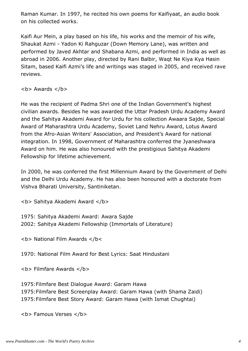Raman Kumar. In 1997, he recited his own poems for Kaifiyaat, an audio book on his collected works.

Kaifi Aur Mein, a play based on his life, his works and the memoir of his wife, Shaukat Azmi - Yadon Ki Rahguzar (Down Memory Lane), was written and performed by Javed Akhtar and Shabana Azmi, and performed in India as well as abroad in 2006. Another play, directed by Rani Balbir, Waqt Ne Kiya Kya Hasin Sitam, based Kaifi Azmi's life and writings was staged in 2005, and received rave reviews.

 **Awards**  $****6****$ 

He was the recipient of Padma Shri one of the Indian Government's highest civilian awards. Besides he was awarded the Uttar Pradesh Urdu Academy Award and the Sahitya Akademi Award for Urdu for his collection Awaara Sajde, Special Award of Maharashtra Urdu Academy, Soviet Land Nehru Award, Lotus Award from the Afro-Asian Writers' Association, and President's Award for national integration. In 1998, Government of Maharashtra conferred the Jyaneshwara Award on him. He was also honoured with the prestigious Sahitya Akademi Fellowship for lifetime achievement.

In 2000, he was conferred the first Millennium Award by the Government of Delhi and the Delhi Urdu Academy. He has also been honoured with a doctorate from Vishva Bharati University, Santiniketan.

<b> Sahitya Akademi Award </b>

1975: Sahitya Akademi Award: Awara Sajde 2002: Sahitya Akademi Fellowship (Immortals of Literature)

<b> National Film Awards </b<

1970: National Film Award for Best Lyrics: Saat Hindustani

**<b> Filmfare Awards </b>** 

1975:Filmfare Best Dialogue Award: Garam Hawa 1975:Filmfare Best Screenplay Award: Garam Hawa (with Shama Zaidi) 1975:Filmfare Best Story Award: Garam Hawa (with Ismat Chughtai)

**<b> Famous Verses </b>**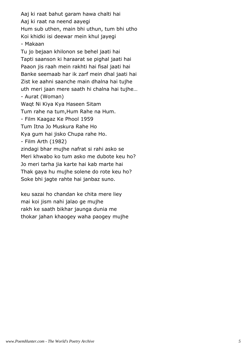Aaj ki raat bahut garam hawa chalti hai Aaj ki raat na neend aayegi Hum sub uthen, main bhi uthun, tum bhi utho Koi khidki isi deewar mein khul jayegi - Makaan Tu jo bejaan khilonon se behel jaati hai Tapti saanson ki haraarat se pighal jaati hai Paaon jis raah mein rakhti hai fisal jaati hai Banke seemaab har ik zarf mein dhal jaati hai Zist ke aahni saanche main dhalna hai tujhe uth meri jaan mere saath hi chalna hai tujhe… - Aurat (Woman) Waqt Ni Kiya Kya Haseen Sitam Tum rahe na tum,Hum Rahe na Hum. - Film Kaagaz Ke Phool 1959 Tum Itna Jo Muskura Rahe Ho Kya gum hai jisko Chupa rahe Ho. - Film Arth (1982) zindagi bhar mujhe nafrat si rahi asko se Meri khwabo ko tum asko me dubote keu ho? Jo meri tarha jia karte hai kab marte hai Thak gaya hu mujhe solene do rote keu ho? Soke bhi jagte rahte hai janbaz suno.

keu sazai ho chandan ke chita mere liey mai koi jism nahi jalao ge mujhe rakh ke saath bikhar jaunga dunia me thokar jahan khaogey waha paogey mujhe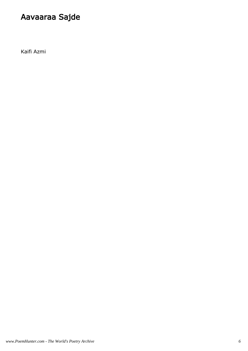# Aavaaraa Sajde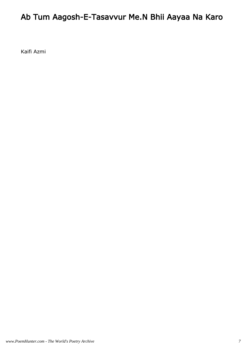# Ab Tum Aagosh-E-Tasavvur Me.N Bhii Aayaa Na Karo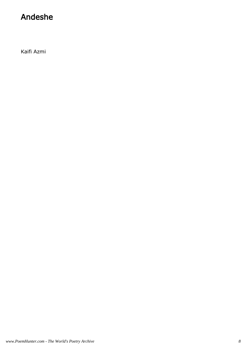#### Andeshe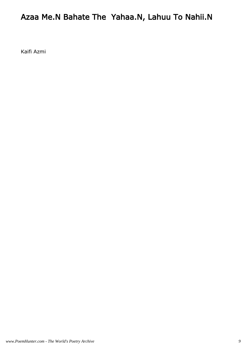# Azaa Me.N Bahate The Yahaa.N, Lahuu To Nahii.N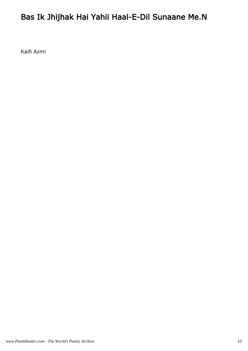# Bas Ik Jhijhak Hai Yahii Haal-E-Dil Sunaane Me.N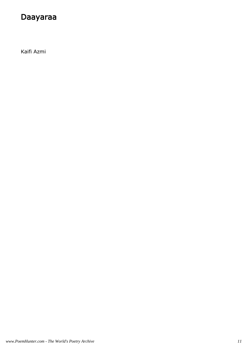#### Daayaraa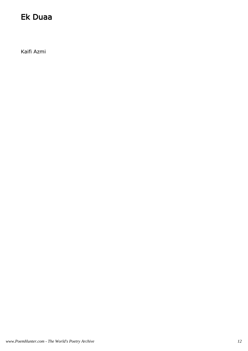#### Ek Duaa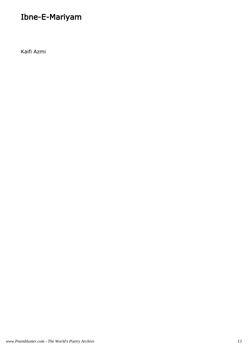# Ibne-E-Mariyam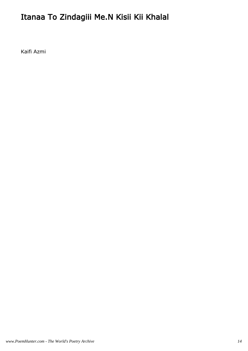# Itanaa To Zindagiii Me.N Kisii Kii Khalal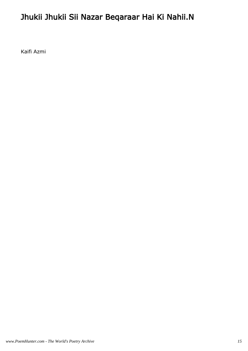# Jhukii Jhukii Sii Nazar Beqaraar Hai Ki Nahii.N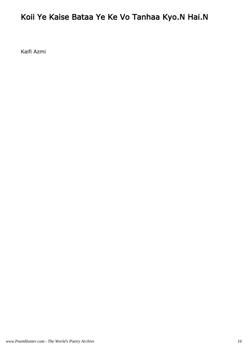### Koii Ye Kaise Bataa Ye Ke Vo Tanhaa Kyo.N Hai.N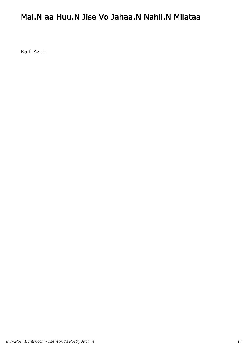#### Mai.N aa Huu.N Jise Vo Jahaa.N Nahii.N Milataa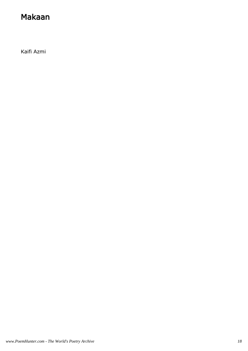#### Makaan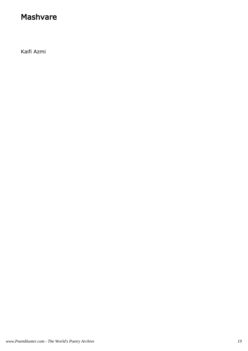#### Mashvare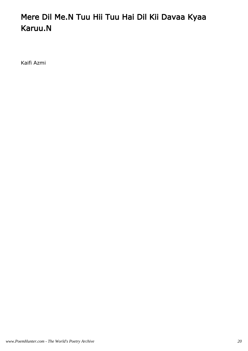# Mere Dil Me.N Tuu Hii Tuu Hai Dil Kii Davaa Kyaa Karuu.N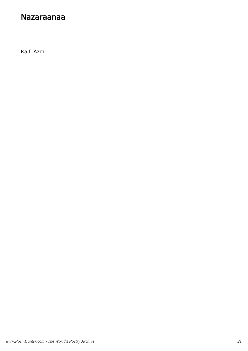#### Nazaraanaa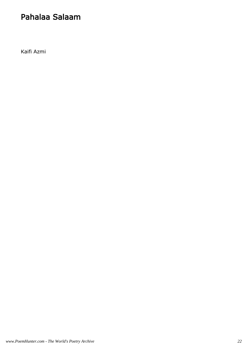#### Pahalaa Salaam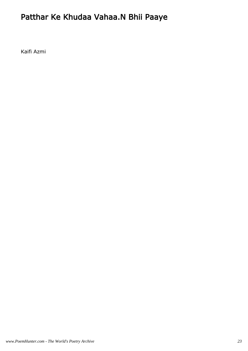# Patthar Ke Khudaa Vahaa.N Bhii Paaye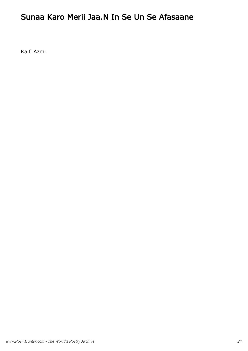#### Sunaa Karo Merii Jaa.N In Se Un Se Afasaane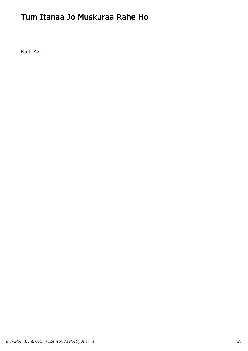### Tum Itanaa Jo Muskuraa Rahe Ho